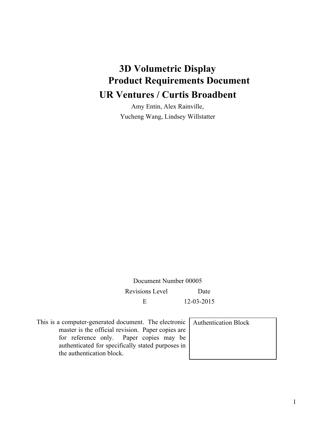# **3D Volumetric Display Product Requirements Document UR Ventures / Curtis Broadbent**

Amy Entin, Alex Rainville, Yucheng Wang, Lindsey Willstatter

Document Number 00005 Revisions Level Date E 12-03-2015

This is a computer-generated document. The electronic master is the official revision. Paper copies are for reference only. Paper copies may be authenticated for specifically stated purposes in the authentication block.

Authentication Block

1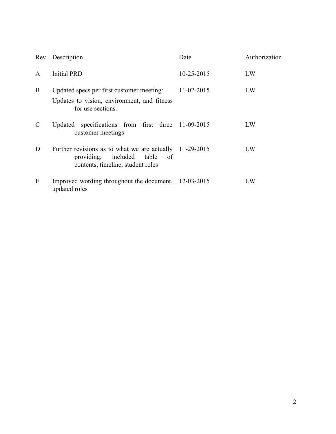| Rev | Description                                                                                                                                   | Date       | Authorization |
|-----|-----------------------------------------------------------------------------------------------------------------------------------------------|------------|---------------|
| A   | <b>Initial PRD</b>                                                                                                                            | 10-25-2015 | LW            |
| B   | Updated specs per first customer meeting:<br>Updates to vision, environment, and fitness<br>for use sections.                                 | 11-02-2015 | LW            |
|     | Updated specifications from first three 11-09-2015<br>customer meetings                                                                       |            | LW            |
| D   | Further revisions as to what we are actually 11-29-2015<br>providing, included<br>table<br><sub>of</sub><br>contents, timeline, student roles |            | LW            |
| E   | Improved wording throughout the document, 12-03-2015<br>updated roles                                                                         |            | LW            |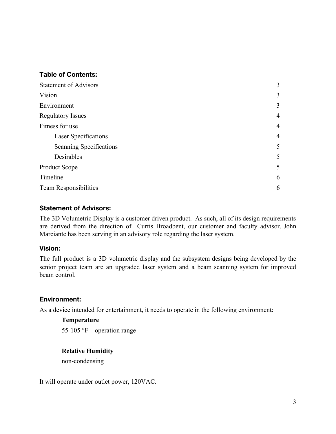#### **Table of Contents:**

| <b>Statement of Advisors</b> |                |
|------------------------------|----------------|
| Vision                       | 3              |
| Environment                  | 3              |
| <b>Regulatory Issues</b>     | 4              |
| Fitness for use              | 4              |
| Laser Specifications         | $\overline{4}$ |
| Scanning Specifications      | 5              |
| Desirables                   | 5              |
| <b>Product Scope</b>         | 5              |
| Timeline                     | 6              |
| <b>Team Responsibilities</b> | 6              |

### **Statement of Advisors:**

The 3D Volumetric Display is a customer driven product. As such, all of its design requirements are derived from the direction of Curtis Broadbent, our customer and faculty advisor. John Marciante has been serving in an advisory role regarding the laser system.

#### **Vision:**

The full product is a 3D volumetric display and the subsystem designs being developed by the senior project team are an upgraded laser system and a beam scanning system for improved beam control.

## **Environment:**

As a device intended for entertainment, it needs to operate in the following environment:

#### **Temperature**

55-105 °F – operation range

#### **Relative Humidity**

non-condensing

It will operate under outlet power, 120VAC.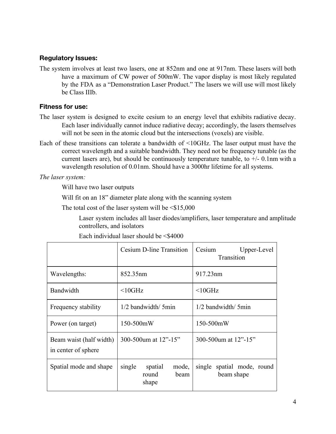#### **RegulatoryIssues:**

The system involves at least two lasers, one at 852nm and one at 917nm. These lasers will both have a maximum of CW power of 500mW. The vapor display is most likely regulated by the FDA as a "Demonstration Laser Product." The lasers we will use will most likely be Class IIIb.

#### **Fitness for use:**

- The laser system is designed to excite cesium to an energy level that exhibits radiative decay. Each laser individually cannot induce radiative decay; accordingly, the lasers themselves will not be seen in the atomic cloud but the intersections (voxels) are visible.
- Each of these transitions can tolerate a bandwidth of <10GHz. The laser output must have the correct wavelength and a suitable bandwidth. They need not be frequency tunable (as the current lasers are), but should be continuously temperature tunable, to  $+/-$  0.1nm with a wavelength resolution of 0.01nm. Should have a 3000hr lifetime for all systems.

*The laser system:*

Will have two laser outputs

Will fit on an 18" diameter plate along with the scanning system

The total cost of the laser system will be  $\leq$ \$15,000

Laser system includes all laser diodes/amplifiers, laser temperature and amplitude controllers, and isolators

|                                                | Cesium D-line Transition                             | Cesium<br>Upper-Level<br>Transition         |
|------------------------------------------------|------------------------------------------------------|---------------------------------------------|
| Wavelengths:                                   | 852.35nm                                             | 917.23nm                                    |
| Bandwidth                                      | $<$ 10GHz                                            | $<$ 10GHz                                   |
| Frequency stability                            | $1/2$ bandwidth/ 5 min                               | $1/2$ bandwidth/ 5 min                      |
| Power (on target)                              | 150-500mW                                            | 150-500mW                                   |
| Beam waist (half width)<br>in center of sphere | 300-500um at 12"-15"                                 | 300-500um at 12"-15"                        |
| Spatial mode and shape                         | single<br>spatial<br>mode,<br>round<br>heam<br>shape | single<br>spatial mode, round<br>beam shape |

Each individual laser should be  $\leq$ \$4000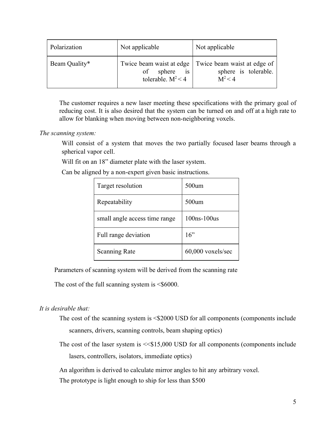| Polarization  | Not applicable                                                         | Not applicable                                                   |
|---------------|------------------------------------------------------------------------|------------------------------------------------------------------|
| Beam Quality* | Twice beam waist at edge<br>is<br>sphere<br>of<br>tolerable. $M^2 < 4$ | Twice beam waist at edge of<br>sphere is tolerable.<br>$M^2 < 4$ |

The customer requires a new laser meeting these specifications with the primary goal of reducing cost. It is also desired that the system can be turned on and off at a high rate to allow for blanking when moving between non-neighboring voxels.

#### *The scanning system:*

Will consist of a system that moves the two partially focused laser beams through a spherical vapor cell.

Will fit on an 18" diameter plate with the laser system.

Can be aligned by a non-expert given basic instructions.

| Target resolution             | 500um             |
|-------------------------------|-------------------|
| Repeatability                 | $500$ um          |
| small angle access time range | $100ns-100us$     |
| Full range deviation          | 16"               |
| <b>Scanning Rate</b>          | 60,000 voxels/sec |

Parameters of scanning system will be derived from the scanning rate

The cost of the full scanning system is  $\leq$  \$6000.

#### *It is desirable that:*

- The cost of the scanning system is  $\leq$ \$2000 USD for all components (components include scanners, drivers, scanning controls, beam shaping optics)
- The cost of the laser system is  $\leq$ \$15,000 USD for all components (components include lasers, controllers, isolators, immediate optics)

An algorithm is derived to calculate mirror angles to hit any arbitrary voxel.

The prototype is light enough to ship for less than \$500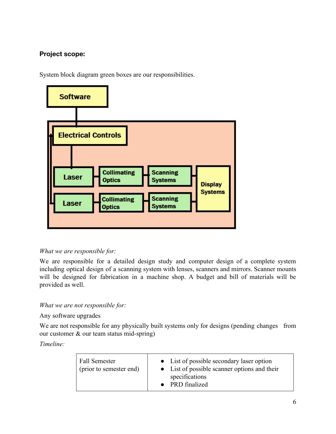# **Project scope:**

System block diagram green boxes are our responsibilities.



#### *What we are responsible for:*

We are responsible for a detailed design study and computer design of a complete system including optical design of a scanning system with lenses, scanners and mirrors. Scanner mounts will be designed for fabrication in a machine shop. A budget and bill of materials will be provided as well.

*What we are not responsible for:*

#### Any software upgrades

We are not responsible for any physically built systems only for designs (pending changes from our customer  $\&$  our team status mid-spring)

*Timeline:*

| <b>Fall Semester</b><br>(prior to semester end) | • List of possible secondary laser option<br>• List of possible scanner options and their<br>specifications<br>• PRD finalized |
|-------------------------------------------------|--------------------------------------------------------------------------------------------------------------------------------|
|-------------------------------------------------|--------------------------------------------------------------------------------------------------------------------------------|